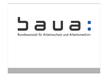# aua: Bundesanstalt für Arbeitsschutz und Arbeitsmedizin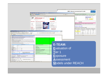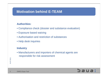## **Motivation behind E-TEAM**

#### **Authorities:**

- Compliance check (dossier and substance evaluation)
- Exposure based waiving
- Authorisation and restriction of substances
- Help desk inquiries

#### **Industry**

• Manufacturers and importers of chemical agents are responsible for risk assessment

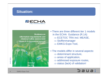#### **Situation:**



**Guidance on** information requirements and chemical safety assessment **Chapter R.14: Occupational exposure** estimation **Version: 2 May 2010** 

• There are three different tier 1 models in the ECHA Guidance (R.14):

- $\Rightarrow$  ECETOC TRA incl. MEASE,
- $\Rightarrow$  Stoffenmanager
- $\Rightarrow$  EMKG-Expo-Tool,
- The models differ in several aspects:
	- $\Rightarrow$  determinant structure,
	- $\Rightarrow$  areas of application,
	- $\Rightarrow$  addressed exposure routes,
	- $\Rightarrow$  status (lack) of validation!

## Saua:

04.07.2011

04.07.2011

4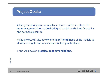#### **Project Goals:**

 $\triangleright$ The general objective is to achieve more confidence about the **accuracy, precision**, and **reliability** of model predictions (inhalation and dermal exposure).

¾The project will also review the **user friendliness** of the models to identify strenghts and weaknesses in their practical use

¾and will develop **practical recommendations**.

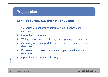## **Project plan**

#### **Work Part I: Critical Evaluation of Tier 1 Models**

- ¾ Gathering of background information and conceptual evaluation
- $\blacktriangleright$ Evaluation of data sources
- ¾Writing a protocol for gathering and reporting exposure data
- ¾ Gathering of exposure data and development of an exposure data base
- ¾ Evaluation of gathered data and comparison with model estimates
- ¾Operational analysis (workshop)

6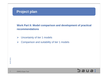## **Project plan**

**Work Part II: Model comparison and development of practical recommendations**

- ¾Uncertainty of tier 1 models
- ¾Comparison and suitability of tier 1 models

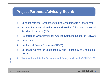## **Project Partners /Advisory Board:**

- $\blacktriangleright$ Bundesanstalt für Arbeitsschutz und Arbeitsmedizin (coordinator)
- ¾ Institute for Occupational Safety and Health of the German Social Accident Insurance ("IFA")
- ¾Netherlands Organization for Applied Scientific Research ("TNO")
- $\blacktriangleright$ Arbo Unie
- ¾Health and Safety Executive ("HSE")
- ¾ European Centre for Ecotoxicology and Toxicology of Chemicals ("ECETOC")
- ¾ "National Institute for Occupational Safety and Health" ("NIOSH")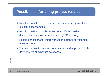## **Possibilities for using project results**

- $\triangleright$  Results can help manufacturers and importers improve their exposure assessments
- $\triangleright$  Results could be used by ECHA to modify the guidance documents on exposure assessment (PEG support)
- ¾ Recommendations for improvement and further development of exposure models
- $\triangleright$  The results might contribute to a more unified approach for the development of exposure databases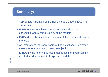#### **Summary:**

- ¾ Appropriate validation of the Tier 1 models under REACH is still lacking
- $\triangleright$  E-TEAM aims to achieve more confidence about the conceptual and external validity of the models
- ¾ E-TEAM will also include an analysis of the user friendliness of the tools
- $\triangleright$  An international advisory board will be established to provide measurement data and to ensure objectivity
- ¾ E-TEAM aims to arrive at recommendations for improvement and further development of exposure models